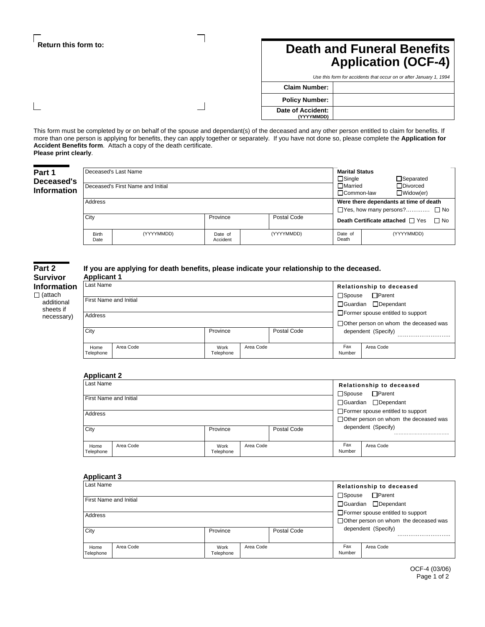# **Return this form to:**

 $\overline{\phantom{a}}$ 

# **Death and Funeral Benefits Application (OCF-4)**

| Use this form for accidents that occur on or after January 1, 1994 |  |  |
|--------------------------------------------------------------------|--|--|
| <b>Claim Number:</b>                                               |  |  |
| <b>Policy Number:</b>                                              |  |  |
| Date of Accident:<br>(YYYYMMDD)                                    |  |  |

This form must be completed by or on behalf of the spouse and dependant(s) of the deceased and any other person entitled to claim for benefits. If more than one person is applying for benefits, they can apply together or separately. If you have not done so, please complete the **Application for Accident Benefits form**. Attach a copy of the death certificate. **Please print clearly**.

| Part 1<br>Deceased's<br>Information | Deceased's Last Name<br>Deceased's First Name and Initial |            |                     |                                        |                  | <b>Marital Status</b><br>$\Box$ Separated<br>□Married<br>□Divorced<br>$\Box$ Widow(er)<br>□ Common-law |
|-------------------------------------|-----------------------------------------------------------|------------|---------------------|----------------------------------------|------------------|--------------------------------------------------------------------------------------------------------|
| Address                             |                                                           |            |                     | Were there dependants at time of death |                  |                                                                                                        |
|                                     |                                                           |            |                     |                                        |                  | $\Box$ Yes, how many persons? $\Box$ No                                                                |
|                                     | City                                                      |            | Province            | Postal Code                            |                  | Death Certificate attached $\Box$ Yes<br>$\Box$ No                                                     |
|                                     | <b>Birth</b><br>Date                                      | (YYYYMMDD) | Date of<br>Accident | (YYYYMMDD)                             | Date of<br>Death | (YYYYMMDD)                                                                                             |

| Part 2         |  |  |  |  |
|----------------|--|--|--|--|
| Survivor       |  |  |  |  |
| Information    |  |  |  |  |
| $\Box$ (attach |  |  |  |  |
| additional     |  |  |  |  |
| sheets if      |  |  |  |  |
| necessary)     |  |  |  |  |

#### **If you are applying for death benefits, please indicate your relationship to the deceased. Applicant 1**

| <b>APPROVING</b>       |           |                   |                                                                                                 |             |               |                                         |
|------------------------|-----------|-------------------|-------------------------------------------------------------------------------------------------|-------------|---------------|-----------------------------------------|
| Last Name              |           |                   |                                                                                                 |             |               | Relationship to deceased                |
| First Name and Initial |           |                   | □Parent<br>$\square$ Spouse<br>□Guardian □Dependant<br>$\Box$ Former spouse entitled to support |             |               |                                         |
| Address                |           |                   |                                                                                                 |             |               | □ Other person on whom the deceased was |
| City                   |           | Province          |                                                                                                 | Postal Code |               | dependent (Specify)                     |
| Home<br>Telephone      | Area Code | Work<br>Telephone | Area Code                                                                                       |             | Fax<br>Number | Area Code                               |

## **Applicant 2**

| Last Name              |           |                   |           |             |                                                                                     | Relationship to deceased<br>$\Box$ Parent<br>$\Box$ Spouse |  |  |
|------------------------|-----------|-------------------|-----------|-------------|-------------------------------------------------------------------------------------|------------------------------------------------------------|--|--|
| First Name and Initial |           |                   |           |             |                                                                                     | □Guardian □Dependant                                       |  |  |
| Address                |           |                   |           |             | $\Box$ Former spouse entitled to support<br>□ Other person on whom the deceased was |                                                            |  |  |
| City                   |           | Province          |           | Postal Code |                                                                                     | dependent (Specify)                                        |  |  |
| Home<br>Telephone      | Area Code | Work<br>Telephone | Area Code |             | Fax<br>Number                                                                       | Area Code                                                  |  |  |

# **Applicant 3**

| Last Name                     |           |                   |           |                                                                |                  | Relationship to deceased                 |
|-------------------------------|-----------|-------------------|-----------|----------------------------------------------------------------|------------------|------------------------------------------|
| <b>First Name and Initial</b> |           |                   |           |                                                                | $\square$ Spouse | $\Box$ Parent                            |
|                               |           |                   |           |                                                                |                  | □ Guardian □ Dependant                   |
| Address                       |           |                   |           |                                                                |                  | $\Box$ Former spouse entitled to support |
|                               |           |                   |           | □ Other person on whom the deceased was<br>dependent (Specify) |                  |                                          |
| City                          |           | Province          |           | Postal Code                                                    |                  |                                          |
|                               |           |                   |           |                                                                |                  |                                          |
| Home<br>Telephone             | Area Code | Work<br>Telephone | Area Code |                                                                | Fax<br>Number    | Area Code                                |